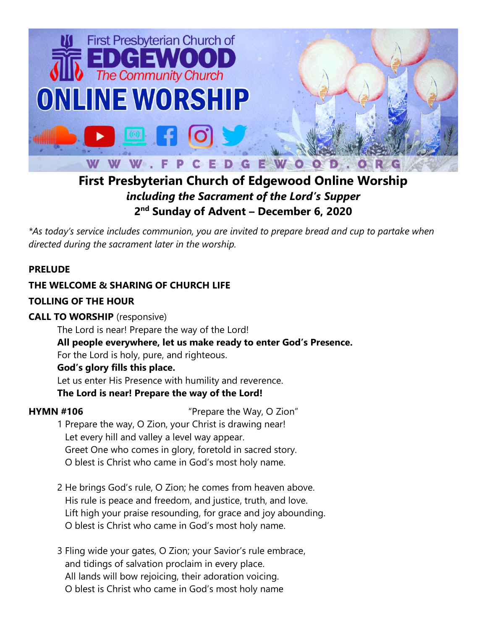

# **First Presbyterian Church of Edgewood Online Worship** *including the Sacrament of the Lord's Supper* **2 nd Sunday of Advent – December 6, 2020**

*\*As today's service includes communion, you are invited to prepare bread and cup to partake when directed during the sacrament later in the worship.*

# **PRELUDE**

# **THE WELCOME & SHARING OF CHURCH LIFE**

# **TOLLING OF THE HOUR**

# **CALL TO WORSHIP** (responsive)

The Lord is near! Prepare the way of the Lord! **All people everywhere, let us make ready to enter God's Presence.** For the Lord is holy, pure, and righteous. **God's glory fills this place.** Let us enter His Presence with humility and reverence.

**The Lord is near! Prepare the way of the Lord!**

**HYMN #106** "Prepare the Way, O Zion"

- 1 Prepare the way, O Zion, your Christ is drawing near! Let every hill and valley a level way appear. Greet One who comes in glory, foretold in sacred story. O blest is Christ who came in God's most holy name.
- 2 He brings God's rule, O Zion; he comes from heaven above. His rule is peace and freedom, and justice, truth, and love. Lift high your praise resounding, for grace and joy abounding. O blest is Christ who came in God's most holy name.
- 3 Fling wide your gates, O Zion; your Savior's rule embrace, and tidings of salvation proclaim in every place. All lands will bow rejoicing, their adoration voicing. O blest is Christ who came in God's most holy name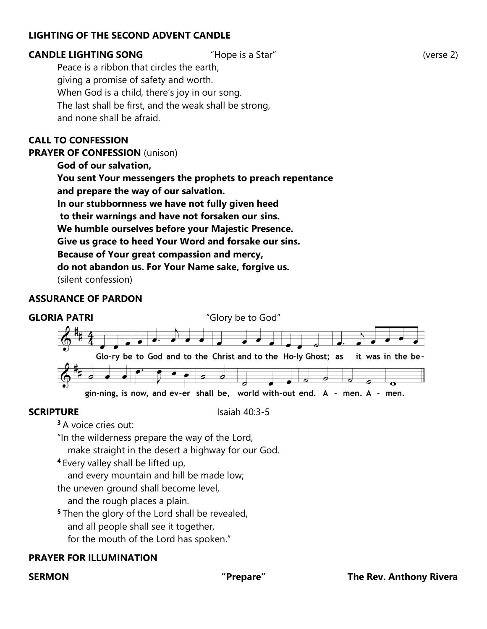## **LIGHTING OF THE SECOND ADVENT CANDLE**

### **CANDLE LIGHTING SONG** "Hope is a Star" (verse 2)

Peace is a ribbon that circles the earth, giving a promise of safety and worth. When God is a child, there's joy in our song. The last shall be first, and the weak shall be strong, and none shall be afraid.

### **CALL TO CONFESSION**

**PRAYER OF CONFESSION** (unison)

**God of our salvation,** 

**You sent Your messengers the prophets to preach repentance and prepare the way of our salvation.** 

**In our stubbornness we have not fully given heed**

**to their warnings and have not forsaken our sins.** 

**We humble ourselves before your Majestic Presence.** 

**Give us grace to heed Your Word and forsake our sins.** 

**Because of Your great compassion and mercy,** 

**do not abandon us. For Your Name sake, forgive us.** 

(silent confession)

### **ASSURANCE OF PARDON**



### **SCRIPTURE** Isaiah 40:3-5

**<sup>3</sup>** A voice cries out:

"In the wilderness prepare the way of the Lord,

make straight in the desert a highway for our God.

**<sup>4</sup>** Every valley shall be lifted up,

and every mountain and hill be made low;

the uneven ground shall become level,

and the rough places a plain.

- **<sup>5</sup>** Then the glory of the Lord shall be revealed,
	- and all people shall see it together,

for the mouth of the Lord has spoken."

### **PRAYER FOR ILLUMINATION**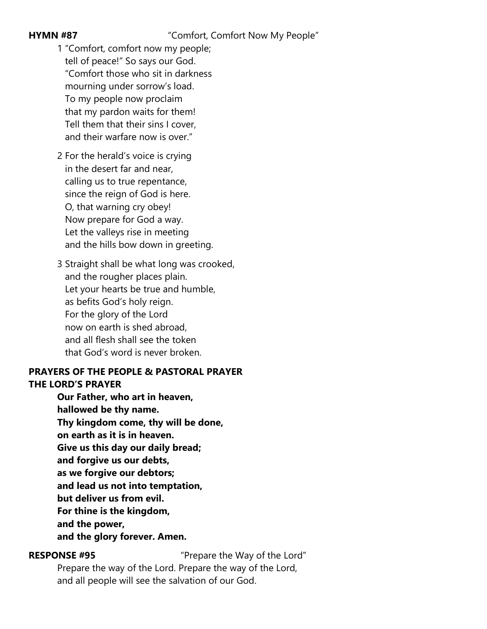### **HYMN #87** "Comfort, Comfort Now My People"

- 1 "Comfort, comfort now my people; tell of peace!" So says our God. "Comfort those who sit in darkness mourning under sorrow's load. To my people now proclaim that my pardon waits for them! Tell them that their sins I cover, and their warfare now is over."
- 2 For the herald's voice is crying in the desert far and near, calling us to true repentance, since the reign of God is here. O, that warning cry obey! Now prepare for God a way. Let the valleys rise in meeting and the hills bow down in greeting.
- 3 Straight shall be what long was crooked, and the rougher places plain. Let your hearts be true and humble, as befits God's holy reign. For the glory of the Lord now on earth is shed abroad, and all flesh shall see the token that God's word is never broken.

### **PRAYERS OF THE PEOPLE & PASTORAL PRAYER THE LORD'S PRAYER**

**Our Father, who art in heaven, hallowed be thy name. Thy kingdom come, thy will be done, on earth as it is in heaven. Give us this day our daily bread; and forgive us our debts, as we forgive our debtors; and lead us not into temptation, but deliver us from evil. For thine is the kingdom, and the power, and the glory forever. Amen.**

**RESPONSE #95** "Prepare the Way of the Lord"

Prepare the way of the Lord. Prepare the way of the Lord, and all people will see the salvation of our God.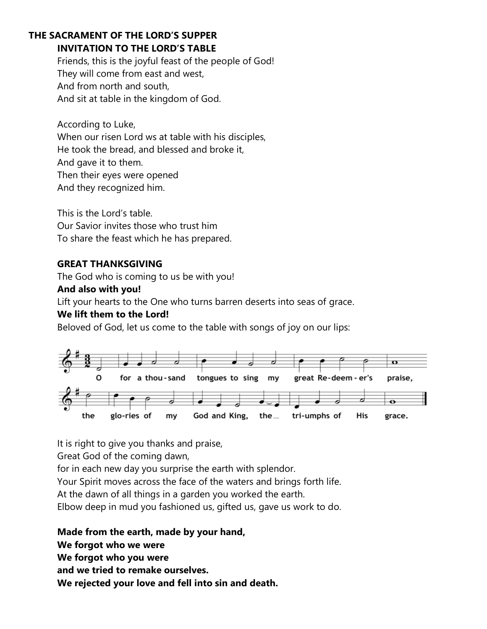# **THE SACRAMENT OF THE LORD'S SUPPER**

# **INVITATION TO THE LORD'S TABLE**

Friends, this is the joyful feast of the people of God! They will come from east and west, And from north and south, And sit at table in the kingdom of God.

According to Luke, When our risen Lord ws at table with his disciples, He took the bread, and blessed and broke it, And gave it to them. Then their eyes were opened And they recognized him.

This is the Lord's table. Our Savior invites those who trust him To share the feast which he has prepared.

# **GREAT THANKSGIVING**

The God who is coming to us be with you!

### **And also with you!**

Lift your hearts to the One who turns barren deserts into seas of grace.

# **We lift them to the Lord!**

Beloved of God, let us come to the table with songs of joy on our lips:



It is right to give you thanks and praise,

Great God of the coming dawn,

for in each new day you surprise the earth with splendor.

Your Spirit moves across the face of the waters and brings forth life.

At the dawn of all things in a garden you worked the earth.

Elbow deep in mud you fashioned us, gifted us, gave us work to do.

**Made from the earth, made by your hand, We forgot who we were We forgot who you were and we tried to remake ourselves. We rejected your love and fell into sin and death.**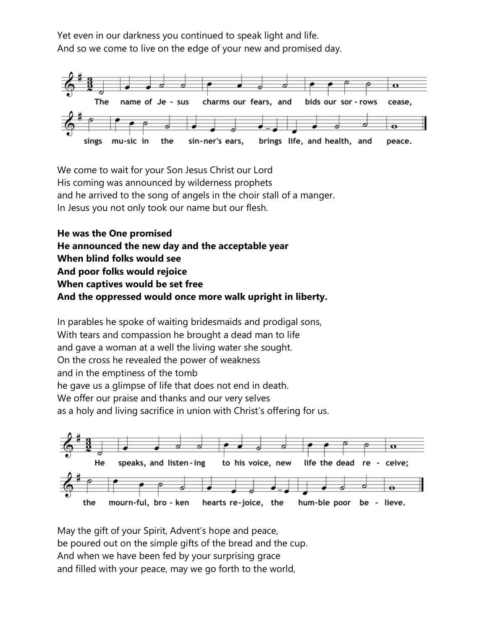Yet even in our darkness you continued to speak light and life. And so we come to live on the edge of your new and promised day.



We come to wait for your Son Jesus Christ our Lord His coming was announced by wilderness prophets and he arrived to the song of angels in the choir stall of a manger. In Jesus you not only took our name but our flesh.

**He was the One promised He announced the new day and the acceptable year When blind folks would see And poor folks would rejoice When captives would be set free And the oppressed would once more walk upright in liberty.**

In parables he spoke of waiting bridesmaids and prodigal sons, With tears and compassion he brought a dead man to life and gave a woman at a well the living water she sought. On the cross he revealed the power of weakness and in the emptiness of the tomb he gave us a glimpse of life that does not end in death. We offer our praise and thanks and our very selves as a holy and living sacrifice in union with Christ's offering for us.



May the gift of your Spirit, Advent's hope and peace, be poured out on the simple gifts of the bread and the cup. And when we have been fed by your surprising grace and filled with your peace, may we go forth to the world,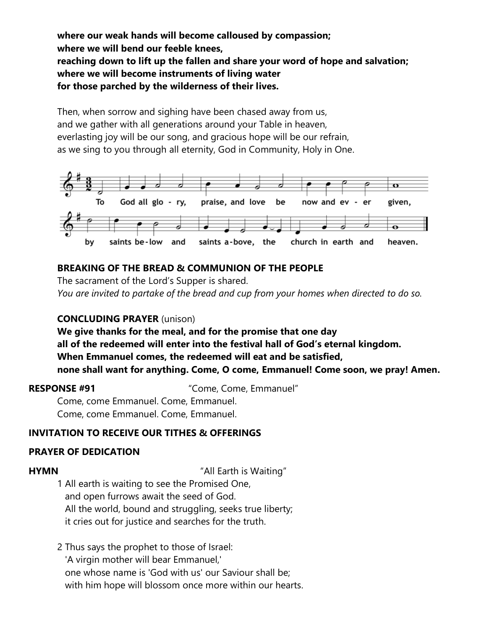**where our weak hands will become calloused by compassion; where we will bend our feeble knees, reaching down to lift up the fallen and share your word of hope and salvation; where we will become instruments of living water for those parched by the wilderness of their lives.**

Then, when sorrow and sighing have been chased away from us, and we gather with all generations around your Table in heaven, everlasting joy will be our song, and gracious hope will be our refrain, as we sing to you through all eternity, God in Community, Holy in One.



# **BREAKING OF THE BREAD & COMMUNION OF THE PEOPLE**

The sacrament of the Lord's Supper is shared. *You are invited to partake of the bread and cup from your homes when directed to do so.*

### **CONCLUDING PRAYER** (unison)

**We give thanks for the meal, and for the promise that one day all of the redeemed will enter into the festival hall of God's eternal kingdom. When Emmanuel comes, the redeemed will eat and be satisfied, none shall want for anything. Come, O come, Emmanuel! Come soon, we pray! Amen.**

**RESPONSE #91** "Come, Come, Emmanuel"

Come, come Emmanuel. Come, Emmanuel. Come, come Emmanuel. Come, Emmanuel.

# **INVITATION TO RECEIVE OUR TITHES & OFFERINGS**

# **PRAYER OF DEDICATION**

**HYMN** "All Earth is Waiting"

1 All earth is waiting to see the Promised One, and open furrows await the seed of God. All the world, bound and struggling, seeks true liberty; it cries out for justice and searches for the truth.

2 Thus says the prophet to those of Israel: 'A virgin mother will bear Emmanuel,' one whose name is 'God with us' our Saviour shall be; with him hope will blossom once more within our hearts.